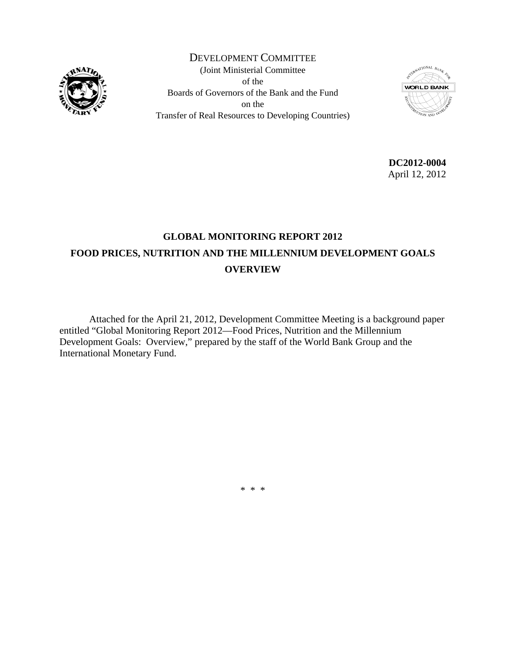

DEVELOPMENT COMMITTEE (Joint Ministerial Committee of the Boards of Governors of the Bank and the Fund on the Transfer of Real Resources to Developing Countries)



**DC2012-0004**  April 12, 2012

## **GLOBAL MONITORING REPORT 2012 FOOD PRICES, NUTRITION AND THE MILLENNIUM DEVELOPMENT GOALS OVERVIEW**

 Attached for the April 21, 2012, Development Committee Meeting is a background paper entitled "Global Monitoring Report 2012—Food Prices, Nutrition and the Millennium Development Goals: Overview," prepared by the staff of the World Bank Group and the International Monetary Fund.

\* \* \*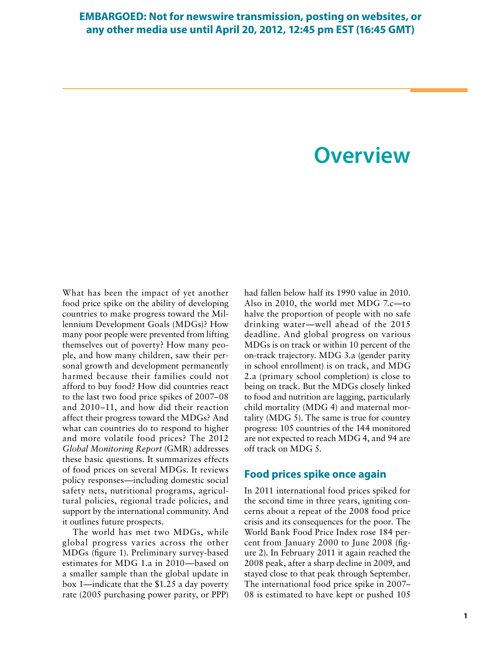# **Overview**

What has been the impact of yet another food price spike on the ability of developing countries to make progress toward the Millennium Development Goals (MDGs)? How many poor people were prevented from lifting themselves out of poverty? How many people, and how many children, saw their personal growth and development permanently harmed because their families could not afford to buy food? How did countries react to the last two food price spikes of 2007–08 and 2010–11, and how did their reaction affect their progress toward the MDGs? And what can countries do to respond to higher and more volatile food prices? The 2012 *Global Monitoring Report* (GMR) addresses these basic questions. It summarizes effects of food prices on several MDGs. It reviews policy responses—including domestic social safety nets, nutritional programs, agricultural policies, regional trade policies, and support by the international community. And it outlines future prospects.

The world has met two MDGs, while global progress varies across the other MDGs (figure 1). Preliminary survey-based estimates for MDG 1.a in 2010—based on a smaller sample than the global update in box 1—indicate that the \$1.25 a day poverty rate (2005 purchasing power parity, or PPP) had fallen below half its 1990 value in 2010. Also in 2010, the world met MDG 7.c—to halve the proportion of people with no safe drinking water—well ahead of the 2015 deadline. And global progress on various MDGs is on track or within 10 percent of the on-track trajectory. MDG 3.a (gender parity in school enrollment) is on track, and MDG 2.a (primary school completion) is close to being on track. But the MDGs closely linked to food and nutrition are lagging, particularly child mortality (MDG 4) and maternal mortality (MDG 5). The same is true for country progress: 105 countries of the 144 monitored are not expected to reach MDG 4, and 94 are off track on MDG 5.

#### **Food prices spike once again**

In 2011 international food prices spiked for the second time in three years, igniting concerns about a repeat of the 2008 food price crisis and its consequences for the poor. The World Bank Food Price Index rose 184 percent from January 2000 to June 2008 (figure 2). In February 2011 it again reached the 2008 peak, after a sharp decline in 2009, and stayed close to that peak through September. The international food price spike in 2007– 08 is estimated to have kept or pushed 105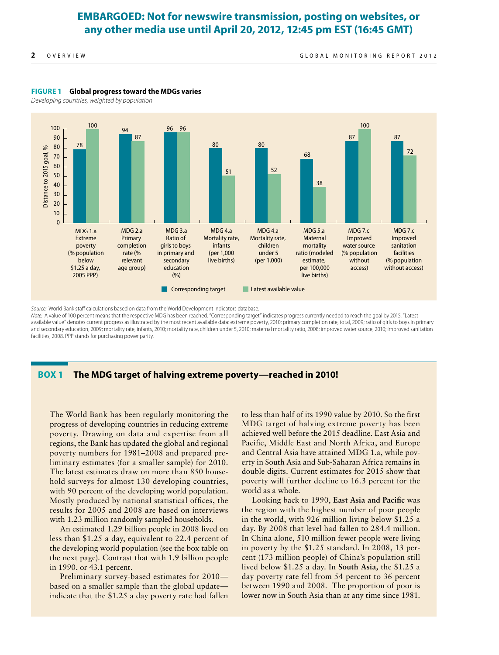

**Figure 1 Global progress toward the MDGs varies** 

*Developing countries, weighted by population*

*Source:* World Bank staff calculations based on data from the World Development Indicators database.

*Note:* A value of 100 percent means that the respective MDG has been reached. "Corresponding target" indicates progress currently needed to reach the goal by 2015. "Latest available value" denotes current progress as illustrated by the most recent available data: extreme poverty, 2010; primary completion rate, total, 2009; ratio of girls to boys in primary and secondary education, 2009; mortality rate, infants, 2010; mortality rate, children under 5, 2010; maternal mortality ratio, 2008; improved water source, 2010; improved sanitation facilities, 2008. PPP stands for purchasing power parity.

#### **Box 1 The MDG target of halving extreme poverty—reached in 2010!**

The World Bank has been regularly monitoring the progress of developing countries in reducing extreme poverty. Drawing on data and expertise from all regions, the Bank has updated the global and regional poverty numbers for 1981–2008 and prepared preliminary estimates (for a smaller sample) for 2010. The latest estimates draw on more than 850 household surveys for almost 130 developing countries, with 90 percent of the developing world population. Mostly produced by national statistical offices, the results for 2005 and 2008 are based on interviews with 1.23 million randomly sampled households.

An estimated 1.29 billion people in 2008 lived on less than \$1.25 a day, equivalent to 22.4 percent of the developing world population (see the box table on the next page). Contrast that with 1.9 billion people in 1990, or 43.1 percent.

Preliminary survey-based estimates for 2010 based on a smaller sample than the global update indicate that the \$1.25 a day poverty rate had fallen

to less than half of its 1990 value by 2010. So the first MDG target of halving extreme poverty has been achieved well before the 2015 deadline. East Asia and Pacific, Middle East and North Africa, and Europe and Central Asia have attained MDG 1.a, while poverty in South Asia and Sub-Saharan Africa remains in double digits. Current estimates for 2015 show that poverty will further decline to 16.3 percent for the world as a whole.

Looking back to 1990, **East Asia and Pacific** was the region with the highest number of poor people in the world, with 926 million living below \$1.25 a day. By 2008 that level had fallen to 284.4 million. In China alone, 510 million fewer people were living in poverty by the \$1.25 standard. In 2008, 13 percent (173 million people) of China's population still lived below \$1.25 a day. In **South Asia,** the \$1.25 a day poverty rate fell from 54 percent to 36 percent between 1990 and 2008. The proportion of poor is lower now in South Asia than at any time since 1981.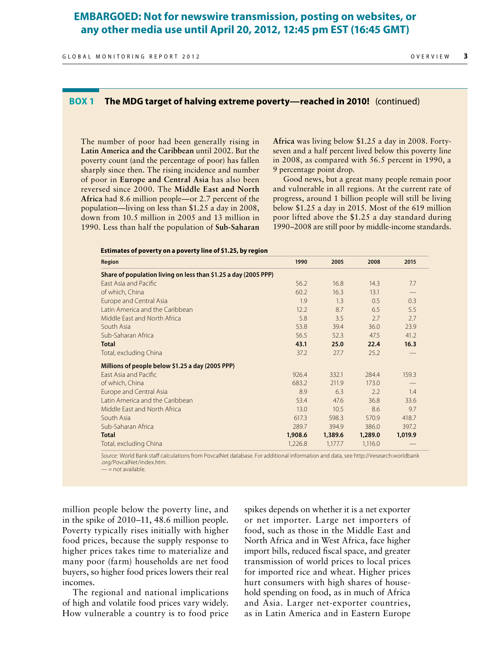#### **Box 1 The MDG target of halving extreme poverty—reached in 2010!** (continued)

The number of poor had been generally rising in **Latin America and the Caribbean** until 2002. But the poverty count (and the percentage of poor) has fallen sharply since then. The rising incidence and number of poor in **Europe and Central Asia** has also been reversed since 2000. The **Middle East and North Africa** had 8.6 million people—or 2.7 percent of the population—living on less than \$1.25 a day in 2008, down from 10.5 million in 2005 and 13 million in 1990. Less than half the population of **Sub-Saharan**  **Africa** was living below \$1.25 a day in 2008. Fortyseven and a half percent lived below this poverty line in 2008, as compared with 56.5 percent in 1990, a 9 percentage point drop.

Good news, but a great many people remain poor and vulnerable in all regions. At the current rate of progress, around 1 billion people will still be living below \$1.25 a day in 2015. Most of the 619 million poor lifted above the \$1.25 a day standard during 1990–2008 are still poor by middle-income standards.

|  |  |  |  | Estimates of poverty on a poverty line of \$1.25, by region |
|--|--|--|--|-------------------------------------------------------------|
|--|--|--|--|-------------------------------------------------------------|

| Region                                                          | 1990    | 2005    | 2008    | 2015    |  |  |  |
|-----------------------------------------------------------------|---------|---------|---------|---------|--|--|--|
| Share of population living on less than \$1.25 a day (2005 PPP) |         |         |         |         |  |  |  |
| <b>Fast Asia and Pacific</b>                                    | 56.2    | 16.8    | 14.3    | 7.7     |  |  |  |
| of which, China                                                 | 60.2    | 16.3    | 13.1    |         |  |  |  |
| Europe and Central Asia                                         | 1.9     | 1.3     | 0.5     | 0.3     |  |  |  |
| Latin America and the Caribbean                                 | 12.2    | 8.7     | 6.5     | 5.5     |  |  |  |
| Middle East and North Africa                                    | 5.8     | 3.5     | 2.7     | 2.7     |  |  |  |
| South Asia                                                      | 53.8    | 39.4    | 36.0    | 23.9    |  |  |  |
| Sub-Saharan Africa                                              | 56.5    | 52.3    | 47.5    | 41.2    |  |  |  |
| <b>Total</b>                                                    | 43.1    | 25.0    | 22.4    | 16.3    |  |  |  |
| Total, excluding China                                          | 37.2    | 27.7    | 25.2    |         |  |  |  |
| Millions of people below \$1.25 a day (2005 PPP)                |         |         |         |         |  |  |  |
| East Asia and Pacific                                           | 926.4   | 332.1   | 284.4   | 159.3   |  |  |  |
| of which, China                                                 | 683.2   | 211.9   | 173.0   |         |  |  |  |
| Europe and Central Asia                                         | 8.9     | 6.3     | 2.2     | 1.4     |  |  |  |
| Latin America and the Caribbean                                 | 53.4    | 47.6    | 36.8    | 33.6    |  |  |  |
| Middle East and North Africa                                    | 13.0    | 10.5    | 8.6     | 9.7     |  |  |  |
| South Asia                                                      | 617.3   | 598.3   | 570.9   | 418.7   |  |  |  |
| Sub-Saharan Africa                                              | 289.7   | 394.9   | 386.0   | 397.2   |  |  |  |
| <b>Total</b>                                                    | 1,908.6 | 1,389.6 | 1,289.0 | 1,019.9 |  |  |  |
| Total, excluding China                                          | 1,226.8 | 1,177.7 | 1,116.0 |         |  |  |  |

*Source:* World Bank staff calculations from PovcalNet database. For additional information and data, see http://iresearch.worldbank .org/PovcalNet/index.htm.

— = not available.

million people below the poverty line, and in the spike of 2010–11, 48.6 million people. Poverty typically rises initially with higher food prices, because the supply response to higher prices takes time to materialize and many poor (farm) households are net food buyers, so higher food prices lowers their real incomes.

The regional and national implications of high and volatile food prices vary widely. How vulnerable a country is to food price spikes depends on whether it is a net exporter or net importer. Large net importers of food, such as those in the Middle East and North Africa and in West Africa, face higher import bills, reduced fiscal space, and greater transmission of world prices to local prices for imported rice and wheat. Higher prices hurt consumers with high shares of household spending on food, as in much of Africa and Asia. Larger net-exporter countries, as in Latin America and in Eastern Europe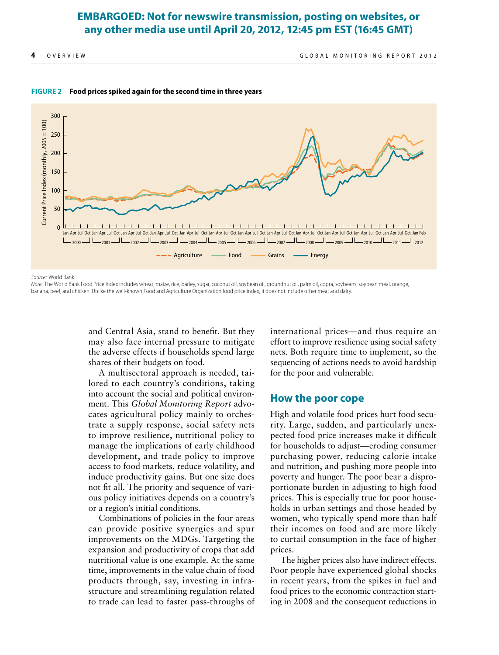

#### **Figure 2 Food prices spiked again for the second time in three years**

*Source:* World Bank.

*Note:* The World Bank Food Price Index includes wheat, maize, rice, barley, sugar, coconut oil, soybean oil, groundnut oil, palm oil, copra, soybeans, soybean meal, orange, banana, beef, and chicken. Unlike the well-known Food and Agriculture Organization food price index, it does not include other meat and dairy.

> and Central Asia, stand to benefit. But they may also face internal pressure to mitigate the adverse effects if households spend large shares of their budgets on food.

> A multisectoral approach is needed, tailored to each country's conditions, taking into account the social and political environment. This *Global Monitoring Report* advocates agricultural policy mainly to orchestrate a supply response, social safety nets to improve resilience, nutritional policy to manage the implications of early childhood development, and trade policy to improve access to food markets, reduce volatility, and induce productivity gains. But one size does not fit all. The priority and sequence of various policy initiatives depends on a country's or a region's initial conditions.

> Combinations of policies in the four areas can provide positive synergies and spur improvements on the MDGs. Targeting the expansion and productivity of crops that add nutritional value is one example. At the same time, improvements in the value chain of food products through, say, investing in infrastructure and streamlining regulation related to trade can lead to faster pass-throughs of

international prices—and thus require an effort to improve resilience using social safety nets. Both require time to implement, so the sequencing of actions needs to avoid hardship for the poor and vulnerable.

#### **How the poor cope**

High and volatile food prices hurt food security. Large, sudden, and particularly unexpected food price increases make it difficult for households to adjust—eroding consumer purchasing power, reducing calorie intake and nutrition, and pushing more people into poverty and hunger. The poor bear a disproportionate burden in adjusting to high food prices. This is especially true for poor households in urban settings and those headed by women, who typically spend more than half their incomes on food and are more likely to curtail consumption in the face of higher prices.

The higher prices also have indirect effects. Poor people have experienced global shocks in recent years, from the spikes in fuel and food prices to the economic contraction starting in 2008 and the consequent reductions in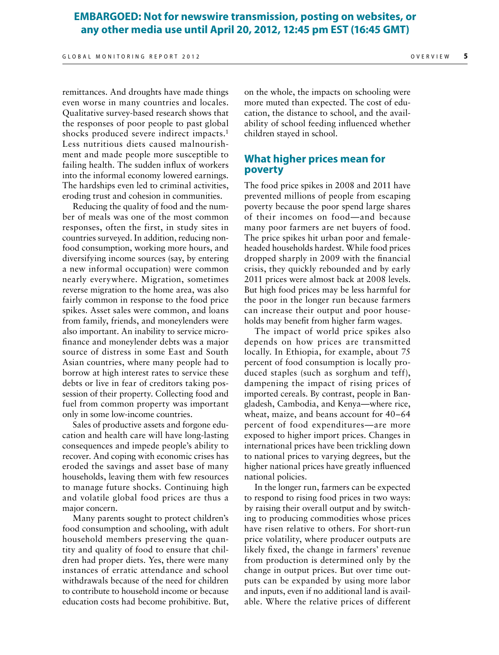remittances. And droughts have made things even worse in many countries and locales. Qualitative survey-based research shows that the responses of poor people to past global shocks produced severe indirect impacts.<sup>1</sup> Less nutritious diets caused malnourishment and made people more susceptible to failing health. The sudden influx of workers into the informal economy lowered earnings. The hardships even led to criminal activities, eroding trust and cohesion in communities.

Reducing the quality of food and the number of meals was one of the most common responses, often the first, in study sites in countries surveyed. In addition, reducing nonfood consumption, working more hours, and diversifying income sources (say, by entering a new informal occupation) were common nearly everywhere. Migration, sometimes reverse migration to the home area, was also fairly common in response to the food price spikes. Asset sales were common, and loans from family, friends, and moneylenders were also important. An inability to service microfinance and moneylender debts was a major source of distress in some East and South Asian countries, where many people had to borrow at high interest rates to service these debts or live in fear of creditors taking possession of their property. Collecting food and fuel from common property was important only in some low-income countries.

Sales of productive assets and forgone education and health care will have long-lasting consequences and impede people's ability to recover. And coping with economic crises has eroded the savings and asset base of many households, leaving them with few resources to manage future shocks. Continuing high and volatile global food prices are thus a major concern.

Many parents sought to protect children's food consumption and schooling, with adult household members preserving the quantity and quality of food to ensure that children had proper diets. Yes, there were many instances of erratic attendance and school withdrawals because of the need for children to contribute to household income or because education costs had become prohibitive. But, on the whole, the impacts on schooling were more muted than expected. The cost of education, the distance to school, and the availability of school feeding influenced whether children stayed in school.

#### **What higher prices mean for poverty**

The food price spikes in 2008 and 2011 have prevented millions of people from escaping poverty because the poor spend large shares of their incomes on food—and because many poor farmers are net buyers of food. The price spikes hit urban poor and femaleheaded households hardest. While food prices dropped sharply in 2009 with the financial crisis, they quickly rebounded and by early 2011 prices were almost back at 2008 levels. But high food prices may be less harmful for the poor in the longer run because farmers can increase their output and poor households may benefit from higher farm wages.

The impact of world price spikes also depends on how prices are transmitted locally. In Ethiopia, for example, about 75 percent of food consumption is locally produced staples (such as sorghum and teff), dampening the impact of rising prices of imported cereals. By contrast, people in Bangladesh, Cambodia, and Kenya—where rice, wheat, maize, and beans account for 40–64 percent of food expenditures—are more exposed to higher import prices. Changes in international prices have been trickling down to national prices to varying degrees, but the higher national prices have greatly influenced national policies.

In the longer run, farmers can be expected to respond to rising food prices in two ways: by raising their overall output and by switching to producing commodities whose prices have risen relative to others. For short-run price volatility, where producer outputs are likely fixed, the change in farmers' revenue from production is determined only by the change in output prices. But over time outputs can be expanded by using more labor and inputs, even if no additional land is available. Where the relative prices of different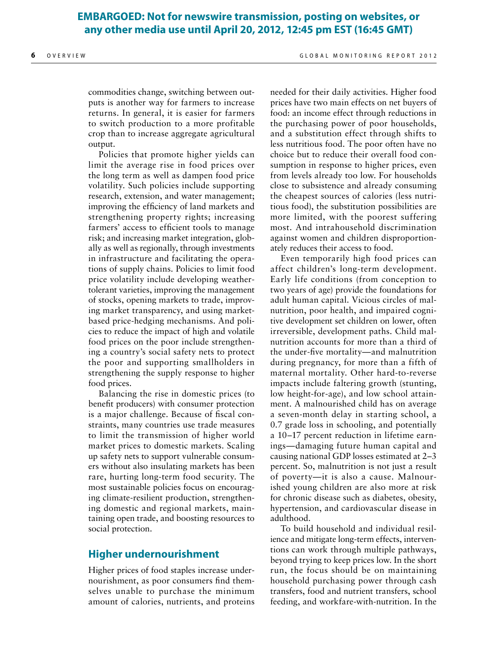**6** OVERVIEW **6** OVER OVER CLOBAL MONITORING REPORT 2012

commodities change, switching between outputs is another way for farmers to increase returns. In general, it is easier for farmers to switch production to a more profitable crop than to increase aggregate agricultural output.

Policies that promote higher yields can limit the average rise in food prices over the long term as well as dampen food price volatility. Such policies include supporting research, extension, and water management; improving the efficiency of land markets and strengthening property rights; increasing farmers' access to efficient tools to manage risk; and increasing market integration, globally as well as regionally, through investments in infrastructure and facilitating the operations of supply chains. Policies to limit food price volatility include developing weathertolerant varieties, improving the management of stocks, opening markets to trade, improving market transparency, and using marketbased price-hedging mechanisms. And policies to reduce the impact of high and volatile food prices on the poor include strengthening a country's social safety nets to protect the poor and supporting smallholders in strengthening the supply response to higher food prices.

Balancing the rise in domestic prices (to benefit producers) with consumer protection is a major challenge. Because of fiscal constraints, many countries use trade measures to limit the transmission of higher world market prices to domestic markets. Scaling up safety nets to support vulnerable consumers without also insulating markets has been rare, hurting long-term food security. The most sustainable policies focus on encouraging climate-resilient production, strengthening domestic and regional markets, maintaining open trade, and boosting resources to social protection.

#### **Higher undernourishment**

Higher prices of food staples increase undernourishment, as poor consumers find themselves unable to purchase the minimum amount of calories, nutrients, and proteins needed for their daily activities. Higher food prices have two main effects on net buyers of food: an income effect through reductions in the purchasing power of poor households, and a substitution effect through shifts to less nutritious food. The poor often have no choice but to reduce their overall food consumption in response to higher prices, even from levels already too low. For households close to subsistence and already consuming the cheapest sources of calories (less nutritious food), the substitution possibilities are more limited, with the poorest suffering most. And intrahousehold discrimination against women and children disproportionately reduces their access to food.

Even temporarily high food prices can affect children's long-term development. Early life conditions (from conception to two years of age) provide the foundations for adult human capital. Vicious circles of malnutrition, poor health, and impaired cognitive development set children on lower, often irreversible, development paths. Child malnutrition accounts for more than a third of the under-five mortality—and malnutrition during pregnancy, for more than a fifth of maternal mortality. Other hard-to-reverse impacts include faltering growth (stunting, low height-for-age), and low school attainment. A malnourished child has on average a seven-month delay in starting school, a 0.7 grade loss in schooling, and potentially a 10–17 percent reduction in lifetime earnings—damaging future human capital and causing national GDP losses estimated at 2–3 percent. So, malnutrition is not just a result of poverty—it is also a cause. Malnourished young children are also more at risk for chronic disease such as diabetes, obesity, hypertension, and cardiovascular disease in adulthood.

To build household and individual resilience and mitigate long-term effects, interventions can work through multiple pathways, beyond trying to keep prices low. In the short run, the focus should be on maintaining household purchasing power through cash transfers, food and nutrient transfers, school feeding, and workfare-with-nutrition. In the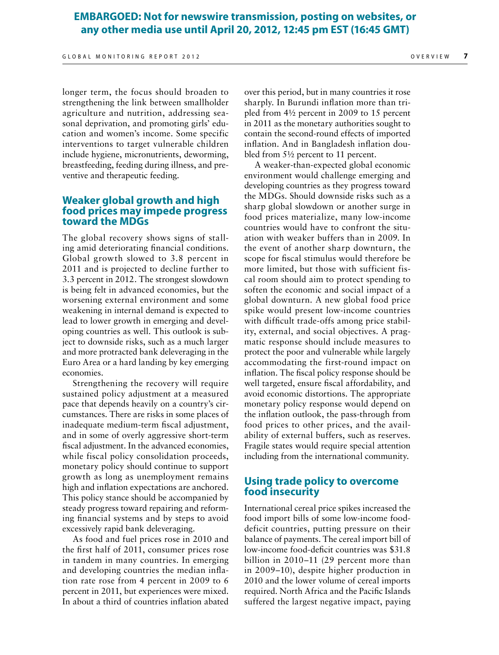longer term, the focus should broaden to strengthening the link between smallholder agriculture and nutrition, addressing seasonal deprivation, and promoting girls' education and women's income. Some specific interventions to target vulnerable children include hygiene, micronutrients, deworming, breastfeeding, feeding during illness, and preventive and therapeutic feeding.

#### **Weaker global growth and high food prices may impede progress toward the MDGs**

The global recovery shows signs of stalling amid deteriorating financial conditions. Global growth slowed to 3.8 percent in 2011 and is projected to decline further to 3.3 percent in 2012. The strongest slowdown is being felt in advanced economies, but the worsening external environment and some weakening in internal demand is expected to lead to lower growth in emerging and developing countries as well. This outlook is subject to downside risks, such as a much larger and more protracted bank deleveraging in the Euro Area or a hard landing by key emerging economies.

Strengthening the recovery will require sustained policy adjustment at a measured pace that depends heavily on a country's circumstances. There are risks in some places of inadequate medium-term fiscal adjustment, and in some of overly aggressive short-term fiscal adjustment. In the advanced economies, while fiscal policy consolidation proceeds, monetary policy should continue to support growth as long as unemployment remains high and inflation expectations are anchored. This policy stance should be accompanied by steady progress toward repairing and reforming financial systems and by steps to avoid excessively rapid bank deleveraging.

As food and fuel prices rose in 2010 and the first half of 2011, consumer prices rose in tandem in many countries. In emerging and developing countries the median inflation rate rose from 4 percent in 2009 to 6 percent in 2011, but experiences were mixed. In about a third of countries inflation abated over this period, but in many countries it rose sharply. In Burundi inflation more than tripled from 4½ percent in 2009 to 15 percent in 2011 as the monetary authorities sought to contain the second-round effects of imported inflation. And in Bangladesh inflation doubled from 5½ percent to 11 percent.

A weaker-than-expected global economic environment would challenge emerging and developing countries as they progress toward the MDGs. Should downside risks such as a sharp global slowdown or another surge in food prices materialize, many low-income countries would have to confront the situation with weaker buffers than in 2009. In the event of another sharp downturn, the scope for fiscal stimulus would therefore be more limited, but those with sufficient fiscal room should aim to protect spending to soften the economic and social impact of a global downturn. A new global food price spike would present low-income countries with difficult trade-offs among price stability, external, and social objectives. A pragmatic response should include measures to protect the poor and vulnerable while largely accommodating the first-round impact on inflation. The fiscal policy response should be well targeted, ensure fiscal affordability, and avoid economic distortions. The appropriate monetary policy response would depend on the inflation outlook, the pass-through from food prices to other prices, and the availability of external buffers, such as reserves. Fragile states would require special attention including from the international community.

#### **Using trade policy to overcome food insecurity**

International cereal price spikes increased the food import bills of some low-income fooddeficit countries, putting pressure on their balance of payments. The cereal import bill of low-income food-deficit countries was \$31.8 billion in 2010–11 (29 percent more than in 2009–10), despite higher production in 2010 and the lower volume of cereal imports required. North Africa and the Pacific Islands suffered the largest negative impact, paying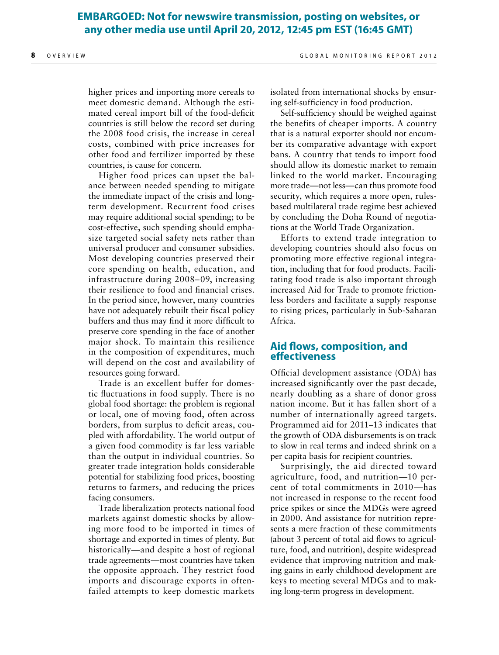higher prices and importing more cereals to meet domestic demand. Although the estimated cereal import bill of the food-deficit countries is still below the record set during the 2008 food crisis, the increase in cereal costs, combined with price increases for other food and fertilizer imported by these countries, is cause for concern.

Higher food prices can upset the balance between needed spending to mitigate the immediate impact of the crisis and longterm development. Recurrent food crises may require additional social spending; to be cost-effective, such spending should emphasize targeted social safety nets rather than universal producer and consumer subsidies. Most developing countries preserved their core spending on health, education, and infrastructure during 2008–09, increasing their resilience to food and financial crises. In the period since, however, many countries have not adequately rebuilt their fiscal policy buffers and thus may find it more difficult to preserve core spending in the face of another major shock. To maintain this resilience in the composition of expenditures, much will depend on the cost and availability of resources going forward.

Trade is an excellent buffer for domestic fluctuations in food supply. There is no global food shortage: the problem is regional or local, one of moving food, often across borders, from surplus to deficit areas, coupled with affordability. The world output of a given food commodity is far less variable than the output in individual countries. So greater trade integration holds considerable potential for stabilizing food prices, boosting returns to farmers, and reducing the prices facing consumers.

Trade liberalization protects national food markets against domestic shocks by allowing more food to be imported in times of shortage and exported in times of plenty. But historically—and despite a host of regional trade agreements—most countries have taken the opposite approach. They restrict food imports and discourage exports in oftenfailed attempts to keep domestic markets isolated from international shocks by ensuring self-sufficiency in food production.

Self-sufficiency should be weighed against the benefits of cheaper imports. A country that is a natural exporter should not encumber its comparative advantage with export bans. A country that tends to import food should allow its domestic market to remain linked to the world market. Encouraging more trade—not less—can thus promote food security, which requires a more open, rulesbased multilateral trade regime best achieved by concluding the Doha Round of negotiations at the World Trade Organization.

Efforts to extend trade integration to developing countries should also focus on promoting more effective regional integration, including that for food products. Facilitating food trade is also important through increased Aid for Trade to promote frictionless borders and facilitate a supply response to rising prices, particularly in Sub-Saharan Africa.

#### **Aid flows, composition, and effectiveness**

Official development assistance (ODA) has increased significantly over the past decade, nearly doubling as a share of donor gross nation income. But it has fallen short of a number of internationally agreed targets. Programmed aid for 2011–13 indicates that the growth of ODA disbursements is on track to slow in real terms and indeed shrink on a per capita basis for recipient countries.

Surprisingly, the aid directed toward agriculture, food, and nutrition—10 percent of total commitments in 2010—has not increased in response to the recent food price spikes or since the MDGs were agreed in 2000. And assistance for nutrition represents a mere fraction of these commitments (about 3 percent of total aid flows to agriculture, food, and nutrition), despite widespread evidence that improving nutrition and making gains in early childhood development are keys to meeting several MDGs and to making long-term progress in development.